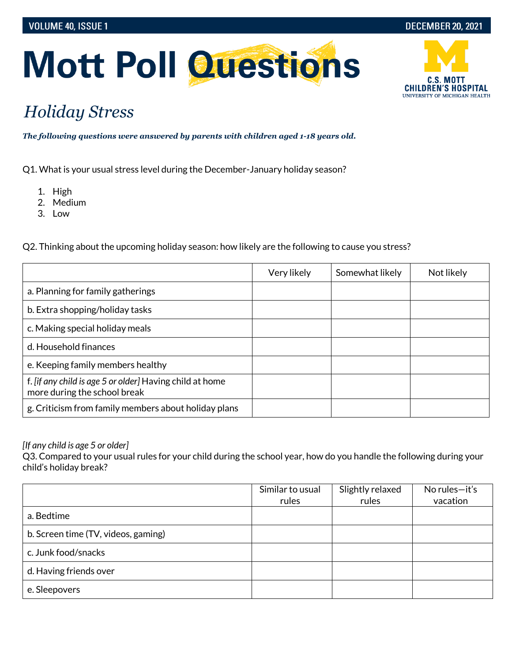

# **Mott Poll Questions**

## *Holiday Stress*

*The following questions were answered by parents with children aged 1-18 years old.*

Q1. What is your usual stress level during the December-January holiday season?

- 1. High
- 2. Medium
- 3. Low

Q2. Thinking about the upcoming holiday season: how likely are the following to cause you stress?

|                                                                                          | Very likely | Somewhat likely | Not likely |
|------------------------------------------------------------------------------------------|-------------|-----------------|------------|
| a. Planning for family gatherings                                                        |             |                 |            |
| b. Extra shopping/holiday tasks                                                          |             |                 |            |
| c. Making special holiday meals                                                          |             |                 |            |
| d. Household finances                                                                    |             |                 |            |
| e. Keeping family members healthy                                                        |             |                 |            |
| f. [if any child is age 5 or older] Having child at home<br>more during the school break |             |                 |            |
| g. Criticism from family members about holiday plans                                     |             |                 |            |

#### *[If any child is age 5 or older]*

Q3. Compared to your usual rules for your child during the school year, how do you handle the following during your child's holiday break?

|                                     | Similar to usual<br>rules | Slightly relaxed<br>rules | No rules $-$ it's<br>vacation |
|-------------------------------------|---------------------------|---------------------------|-------------------------------|
| a. Bedtime                          |                           |                           |                               |
| b. Screen time (TV, videos, gaming) |                           |                           |                               |
| c. Junk food/snacks                 |                           |                           |                               |
| d. Having friends over              |                           |                           |                               |
| e. Sleepovers                       |                           |                           |                               |